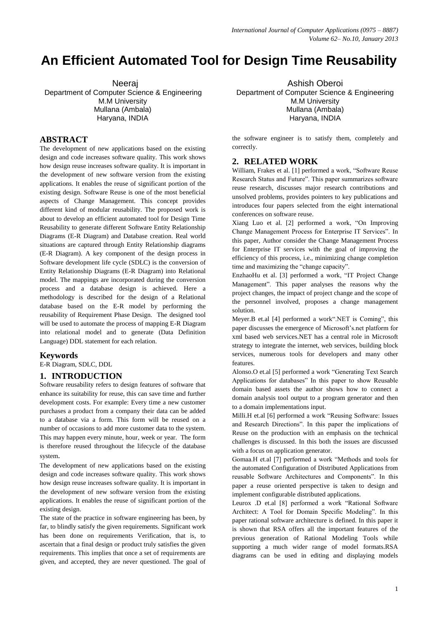# **An Efficient Automated Tool for Design Time Reusability**

 Neeraj Department of Computer Science & Engineering M.M University Mullana (Ambala) Haryana, INDIA

## **ABSTRACT**

The development of new applications based on the existing design and code increases software quality. This work shows how design reuse increases software quality. It is important in the development of new software version from the existing applications. It enables the reuse of significant portion of the existing design. Software Reuse is one of the most beneficial aspects of Change Management. This concept provides different kind of modular reusability. The proposed work is about to develop an efficient automated tool for Design Time Reusability to generate different Software Entity Relationship Diagrams (E-R Diagram) and Database creation. Real world situations are captured through Entity Relationship diagrams (E-R Diagram). A key component of the design process in Software development life cycle (SDLC) is the conversion of Entity Relationship Diagrams (E-R Diagram) into Relational model. The mappings are incorporated during the conversion process and a database design is achieved. Here a methodology is described for the design of a Relational database based on the E-R model by performing the reusability of Requirement Phase Design. The designed tool will be used to automate the process of mapping E-R Diagram into relational model and to generate (Data Definition Language) DDL statement for each relation.

#### **Keywords**

E-R Diagram, SDLC, DDL

#### **1. INTRODUCTION**

Software reusability refers to design features of software that enhance its suitability for reuse, this can save time and further development costs. For example: Every time a new customer purchases a product from a company their data can be added to a database via a form. This form will be reused on a number of occasions to add more customer data to the system. This may happen every minute, hour, week or year. The form is therefore reused throughout the lifecycle of the database system.

The development of new applications based on the existing design and code increases software quality. This work shows how design reuse increases software quality. It is important in the development of new software version from the existing applications. It enables the reuse of significant portion of the existing design.

The state of the practice in software engineering has been, by far, to blindly satisfy the given requirements. Significant work has been done on requirements Verification, that is, to ascertain that a final design or product truly satisfies the given requirements. This implies that once a set of requirements are given, and accepted, they are never questioned. The goal of

Ashish Oberoi Department of Computer Science & Engineering M.M University Mullana (Ambala) Haryana, INDIA

the software engineer is to satisfy them, completely and correctly.

#### **2. RELATED WORK**

William, Frakes et al. [1] performed a work, "Software Reuse Research Status and Future". This paper summarizes software reuse research, discusses major research contributions and unsolved problems, provides pointers to key publications and introduces four papers selected from the eight international conferences on software reuse.

Xiang Luo et al. [2] performed a work, "On Improving Change Management Process for Enterprise IT Services". In this paper, Author consider the Change Management Process for Enterprise IT services with the goal of improving the efficiency of this process, i.e., minimizing change completion time and maximizing the "change capacity".

EnzhaoHu et al. [3] performed a work, "IT Project Change Management". This paper analyses the reasons why the project changes, the impact of project change and the scope of the personnel involved, proposes a change management solution.

Meyer.B et.al [4] performed a work".NET is Coming", this paper discusses the emergence of Microsoft's.net platform for xml based web services.NET has a central role in Microsoft strategy to integrate the internet, web services, building block services, numerous tools for developers and many other features.

Alonso.O et.al [5] performed a work "Generating Text Search Applications for databases" In this paper to show Reusable domain based assets the author shows how to connect a domain analysis tool output to a program generator and then to a domain implementations input.

Milli.H et.al [6] performed a work "Reusing Software: Issues and Research Directions". In this paper the implications of Reuse on the production with an emphasis on the technical challenges is discussed. In this both the issues are discussed with a focus on application generator.

Gomaa.H et.al [7] performed a work "Methods and tools for the automated Configuration of Distributed Applications from reusable Software Architectures and Components". In this paper a reuse oriented perspective is taken to design and implement configurable distributed applications.

Leurox .D et.al [8] performed a work "Rational Software Architect: A Tool for Domain Specific Modeling". In this paper rational software architecture is defined. In this paper it is shown that RSA offers all the important features of the previous generation of Rational Modeling Tools while supporting a much wider range of model formats.RSA diagrams can be used in editing and displaying models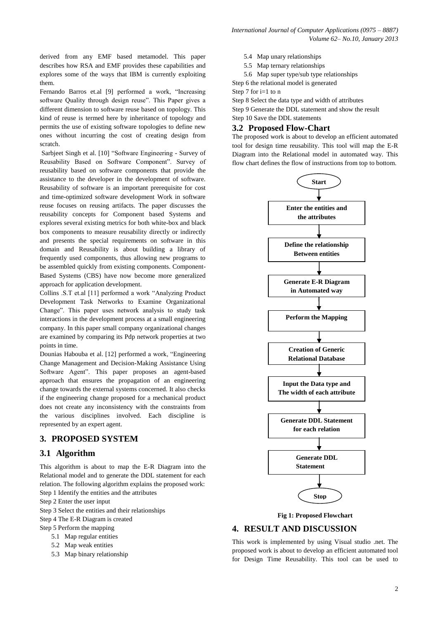derived from any EMF based metamodel. This paper describes how RSA and EMF provides these capabilities and explores some of the ways that IBM is currently exploiting them.

Fernando Barros et.al [9] performed a work, "Increasing software Quality through design reuse". This Paper gives a different dimension to software reuse based on topology. This kind of reuse is termed here by inheritance of topology and permits the use of existing software topologies to define new ones without incurring the cost of creating design from scratch.

Sarbjeet Singh et al. [10] "Software Engineering - Survey of Reusability Based on Software Component". Survey of reusability based on software components that provide the assistance to the developer in the development of software. Reusability of software is an important prerequisite for cost and time-optimized software development Work in software reuse focuses on reusing artifacts. The paper discusses the reusability concepts for Component based Systems and explores several existing metrics for both white-box and black box components to measure reusability directly or indirectly and presents the special requirements on software in this domain and Reusability is about building a library of frequently used components, thus allowing new programs to be assembled quickly from existing components. Component-Based Systems (CBS) have now become more generalized approach for application development.

Collins .S.T et.al [11] performed a work "Analyzing Product Development Task Networks to Examine Organizational Change". This paper uses network analysis to study task interactions in the development process at a small engineering company. In this paper small company organizational changes are examined by comparing its Pdp network properties at two points in time.

Dounias Habouba et al. [12] performed a work, "Engineering Change Management and Decision-Making Assistance Using Software Agent". This paper proposes an agent-based approach that ensures the propagation of an engineering change towards the external systems concerned. It also checks if the engineering change proposed for a mechanical product does not create any inconsistency with the constraints from the various disciplines involved. Each discipline is represented by an expert agent.

# **3. PROPOSED SYSTEM**

## **3.1 Algorithm**

This algorithm is about to map the E-R Diagram into the Relational model and to generate the DDL statement for each relation. The following algorithm explains the proposed work: Step 1 Identify the entities and the attributes

- Step 2 Enter the user input
- Step 3 Select the entities and their relationships
- Step 4 The E-R Diagram is created
- Step 5 Perform the mapping
	- 5.1 Map regular entities
		- 5.2 Map weak entities
		- 5.3 Map binary relationship
- 5.4 Map unary relationships
- 5.5 Map ternary relationships
- 5.6 Map super type/sub type relationships
- Step 6 the relational model is generated
- Step 7 for i=1 to n

Step 8 Select the data type and width of attributes

Step 9 Generate the DDL statement and show the result Step 10 Save the DDL statements

## **3.2 Proposed Flow-Chart**

The proposed work is about to develop an efficient automated tool for design time reusability. This tool will map the E-R Diagram into the Relational model in automated way. This flow chart defines the flow of instructions from top to bottom.



**Fig 1: Proposed Flowchart**

# **4. RESULT AND DISCUSSION**

This work is implemented by using Visual studio .net. The proposed work is about to develop an efficient automated tool for Design Time Reusability. This tool can be used to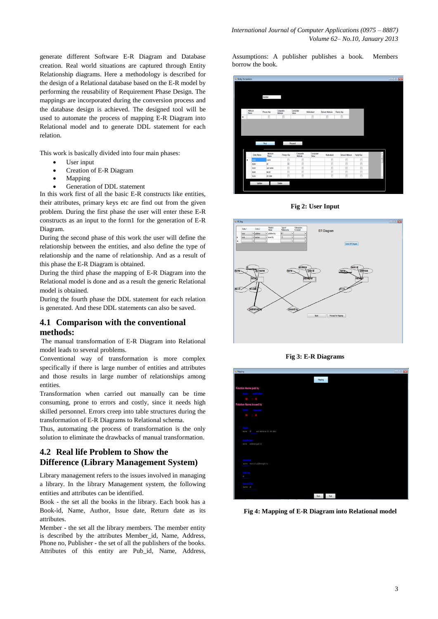generate different Software E-R Diagram and Database creation. Real world situations are captured through Entity Relationship diagrams. Here a methodology is described for the design of a Relational database based on the E-R model by performing the reusability of Requirement Phase Design. The mappings are incorporated during the conversion process and the database design is achieved. The designed tool will be used to automate the process of mapping E-R Diagram into Relational model and to generate DDL statement for each relation.

This work is basically divided into four main phases:

- User input
- Creation of E-R Diagram
- Mapping
- Generation of DDL statement

In this work first of all the basic E-R constructs like entities, their attributes, primary keys etc are find out from the given problem. During the first phase the user will enter these E-R constructs as an input to the form1 for the generation of E-R Diagram.

During the second phase of this work the user will define the relationship between the entities, and also define the type of relationship and the name of relationship. And as a result of this phase the E-R Diagram is obtained.

During the third phase the mapping of E-R Diagram into the Relational model is done and as a result the generic Relational model is obtained.

During the fourth phase the DDL statement for each relation is generated. And these DDL statements can also be saved.

## **4.1 Comparison with the conventional methods:**

The manual transformation of E-R Diagram into Relational model leads to several problems.

Conventional way of transformation is more complex specifically if there is large number of entities and attributes and those results in large number of relationships among entities.

Transformation when carried out manually can be time consuming, prone to errors and costly, since it needs high skilled personnel. Errors creep into table structures during the transformation of E-R Diagrams to Relational schema.

Thus, automating the process of transformation is the only solution to eliminate the drawbacks of manual transformation.

# **4.2 Real life Problem to Show the Difference (Library Management System)**

Library management refers to the issues involved in managing a library. In the library Management system, the following entities and attributes can be identified.

Book - the set all the books in the library. Each book has a Book-id, Name, Author, Issue date, Return date as its attributes.

Member - the set all the library members. The member entity is described by the attributes Member\_id, Name, Address, Phone no, Publisher - the set of all the publishers of the books. Attributes of this entity are Pub\_id, Name, Address,

Assumptions: A publisher publishes a book. Members borrow the book.



**Fig 2: User Input**



**Fig 3: E-R Diagrams**



 **Fig 4: Mapping of E-R Diagram into Relational model**